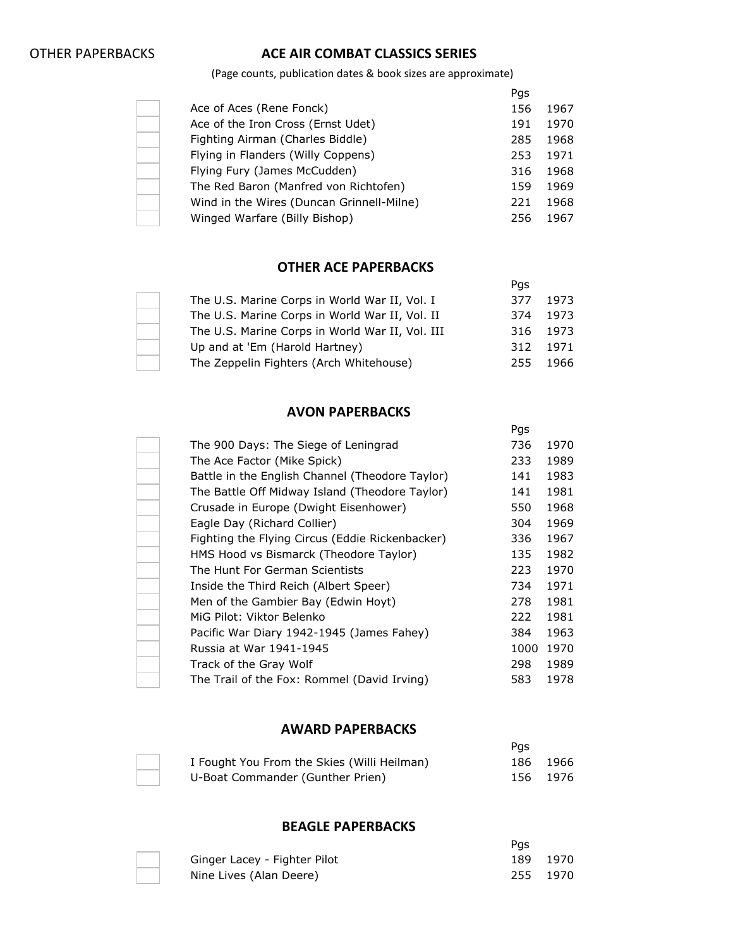$\overline{\phantom{a}}$ 

# OTHER PAPERBACKS **ACE AIR COMBAT CLASSICS SERIES**

(Page counts, publication dates & book sizes are approximate)

|                                           | Pgs |      |
|-------------------------------------------|-----|------|
| Ace of Aces (Rene Fonck)                  | 156 | 1967 |
| Ace of the Iron Cross (Ernst Udet)        | 191 | 1970 |
| Fighting Airman (Charles Biddle)          | 285 | 1968 |
| Flying in Flanders (Willy Coppens)        | 253 | 1971 |
| Flying Fury (James McCudden)              | 316 | 1968 |
| The Red Baron (Manfred von Richtofen)     | 159 | 1969 |
| Wind in the Wires (Duncan Grinnell-Milne) | 221 | 1968 |
| Winged Warfare (Billy Bishop)             | 256 | 1967 |

#### **OTHER ACE PAPERBACKS**

|                                                 | Pas |          |
|-------------------------------------------------|-----|----------|
| The U.S. Marine Corps in World War II, Vol. I   | 377 | 1973     |
| The U.S. Marine Corps in World War II, Vol. II  | 374 | 1973     |
| The U.S. Marine Corps in World War II, Vol. III |     | 316 1973 |
| Up and at 'Em (Harold Hartney)                  | 312 | 1971     |
| The Zeppelin Fighters (Arch Whitehouse)         | 255 | 1966     |

#### **AVON PAPERBACKS**

|                                                 | Pgs  |      |
|-------------------------------------------------|------|------|
| The 900 Days: The Siege of Leningrad            | 736  | 1970 |
| The Ace Factor (Mike Spick)                     | 233  | 1989 |
| Battle in the English Channel (Theodore Taylor) | 141  | 1983 |
| The Battle Off Midway Island (Theodore Taylor)  | 141  | 1981 |
| Crusade in Europe (Dwight Eisenhower)           | 550  | 1968 |
| Eagle Day (Richard Collier)                     | 304  | 1969 |
| Fighting the Flying Circus (Eddie Rickenbacker) | 336  | 1967 |
| HMS Hood vs Bismarck (Theodore Taylor)          | 135  | 1982 |
| The Hunt For German Scientists                  | 223  | 1970 |
| Inside the Third Reich (Albert Speer)           | 734  | 1971 |
| Men of the Gambier Bay (Edwin Hoyt)             | 278  | 1981 |
| MiG Pilot: Viktor Belenko                       | 222  | 1981 |
| Pacific War Diary 1942-1945 (James Fahey)       | 384  | 1963 |
| Russia at War 1941-1945                         | 1000 | 1970 |
| Track of the Gray Wolf                          | 298  | 1989 |
| The Trail of the Fox: Rommel (David Irving)     | 583  | 1978 |
|                                                 |      |      |

#### **AWARD PAPERBACKS**

|                                             | Pas |          |
|---------------------------------------------|-----|----------|
| I Fought You From the Skies (Willi Heilman) |     | 186 1966 |
| U-Boat Commander (Gunther Prien)            |     | 156 1976 |

#### **BEAGLE PAPERBACKS**

|                              | Pas |          |
|------------------------------|-----|----------|
| Ginger Lacey - Fighter Pilot |     | 189 1970 |
| Nine Lives (Alan Deere)      |     | 255 1970 |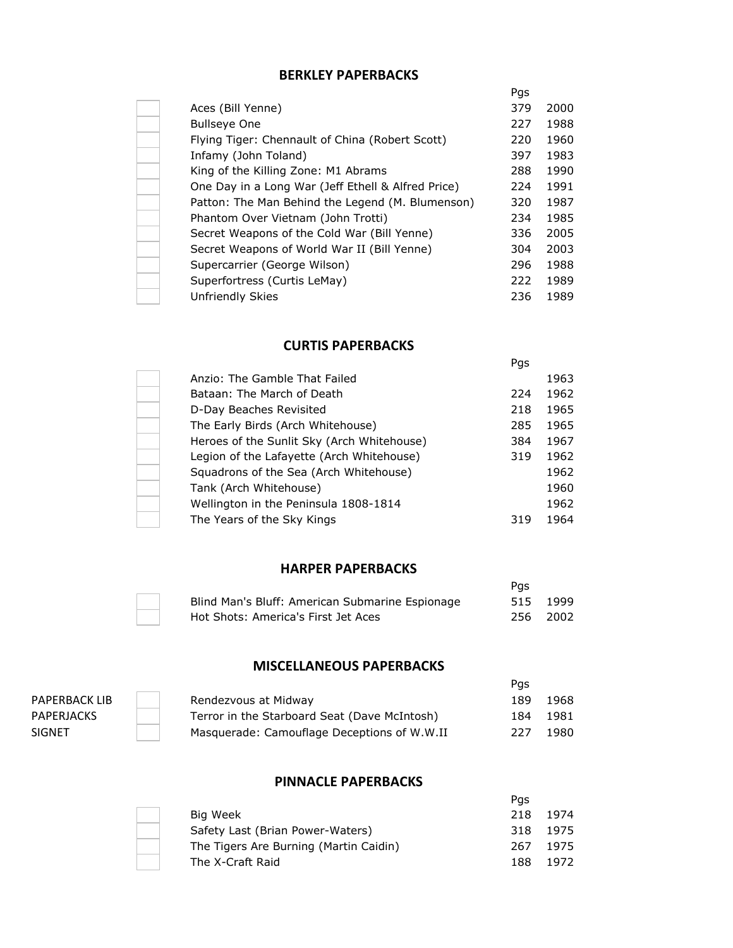## **BERKLEY PAPERBACKS**

|                                                    | Pgs |      |
|----------------------------------------------------|-----|------|
| Aces (Bill Yenne)                                  | 379 | 2000 |
| <b>Bullseye One</b>                                | 227 | 1988 |
| Flying Tiger: Chennault of China (Robert Scott)    | 220 | 1960 |
| Infamy (John Toland)                               | 397 | 1983 |
| King of the Killing Zone: M1 Abrams                | 288 | 1990 |
| One Day in a Long War (Jeff Ethell & Alfred Price) | 224 | 1991 |
| Patton: The Man Behind the Legend (M. Blumenson)   | 320 | 1987 |
| Phantom Over Vietnam (John Trotti)                 | 234 | 1985 |
| Secret Weapons of the Cold War (Bill Yenne)        | 336 | 2005 |
| Secret Weapons of World War II (Bill Yenne)        | 304 | 2003 |
| Supercarrier (George Wilson)                       | 296 | 1988 |
| Superfortress (Curtis LeMay)                       | 222 | 1989 |
| Unfriendly Skies                                   | 236 | 1989 |

### **CURTIS PAPERBACKS**

|                                            | Pgs |      |
|--------------------------------------------|-----|------|
| Anzio: The Gamble That Failed              |     | 1963 |
| Bataan: The March of Death                 | 224 | 1962 |
| D-Day Beaches Revisited                    | 218 | 1965 |
| The Early Birds (Arch Whitehouse)          | 285 | 1965 |
| Heroes of the Sunlit Sky (Arch Whitehouse) | 384 | 1967 |
| Legion of the Lafayette (Arch Whitehouse)  | 319 | 1962 |
| Squadrons of the Sea (Arch Whitehouse)     |     | 1962 |
| Tank (Arch Whitehouse)                     |     | 1960 |
| Wellington in the Peninsula 1808-1814      |     | 1962 |
| The Years of the Sky Kings                 | 319 | 1964 |

## **HARPER PAPERBACKS**

|                                                 | Pas |          |
|-------------------------------------------------|-----|----------|
| Blind Man's Bluff: American Submarine Espionage |     | 515 1999 |
| Hot Shots: America's First Jet Aces             |     | 256 2002 |

## **MISCELLANEOUS PAPERBACKS**

|               |                                              | Pas |      |
|---------------|----------------------------------------------|-----|------|
| PAPERBACK LIB | Rendezvous at Midway                         | 189 | 1968 |
| PAPERJACKS    | Terror in the Starboard Seat (Dave McIntosh) | 184 | 1981 |
| SIGNET        | Masquerade: Camouflage Deceptions of W.W.II  | 227 | 1980 |

## **PINNACLE PAPERBACKS**

|                                        | Pas |      |
|----------------------------------------|-----|------|
| Big Week                               | 218 | 1974 |
| Safety Last (Brian Power-Waters)       | 318 | 1975 |
| The Tigers Are Burning (Martin Caidin) | 267 | 1975 |
| The X-Craft Raid                       | 188 | 1972 |